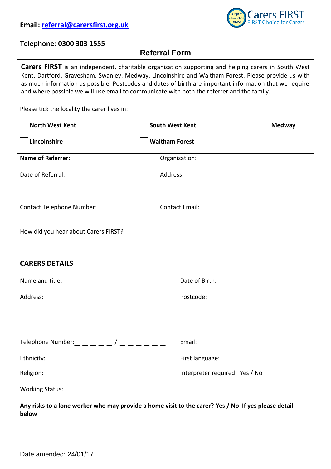

## **Telephone: 0300 303 1555**

## **Referral Form**

Please tick the locality the carer lives in: **North West Kent North West Kent North West Kent North West Kent Carers FIRST** is an independent, charitable organisation supporting and helping carers in South West Kent, Dartford, Gravesham, Swanley, Medway, Lincolnshire and Waltham Forest. Please provide us with as much information as possible. Postcodes and dates of birth are important information that we require and where possible we will use email to communicate with both the referrer and the family.

| Lincolnshire                         | <b>Waltham Forest</b> |  |
|--------------------------------------|-----------------------|--|
| <b>Name of Referrer:</b>             | Organisation:         |  |
| Date of Referral:                    | Address:              |  |
| <b>Contact Telephone Number:</b>     | <b>Contact Email:</b> |  |
| How did you hear about Carers FIRST? |                       |  |

| <b>CARERS DETAILS</b>                                                                                        |                                |  |  |
|--------------------------------------------------------------------------------------------------------------|--------------------------------|--|--|
| Name and title:                                                                                              | Date of Birth:                 |  |  |
| Address:                                                                                                     | Postcode:                      |  |  |
|                                                                                                              |                                |  |  |
|                                                                                                              |                                |  |  |
| Telephone Number: $\_\_$ $\_\_$ $\_\_$ $\_\_$ / $\_\_$ $\_\_$ $\_$                                           | Email:                         |  |  |
| Ethnicity:                                                                                                   | First language:                |  |  |
| Religion:                                                                                                    | Interpreter required: Yes / No |  |  |
| <b>Working Status:</b>                                                                                       |                                |  |  |
| Any risks to a lone worker who may provide a home visit to the carer? Yes / No If yes please detail<br>below |                                |  |  |
|                                                                                                              |                                |  |  |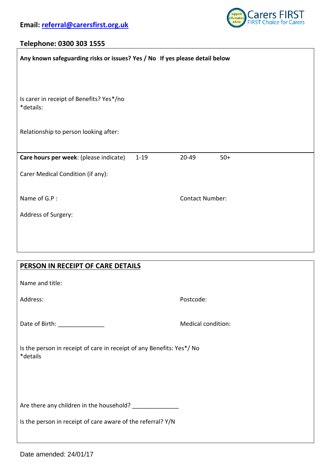

## **Telephone: 0300 303 1555**

| Any known safeguarding risks or issues? Yes / No If yes please detail below       |                        |  |  |
|-----------------------------------------------------------------------------------|------------------------|--|--|
|                                                                                   |                        |  |  |
| Is carer in receipt of Benefits? Yes*/no<br>*details:                             |                        |  |  |
| Relationship to person looking after:                                             |                        |  |  |
| Care hours per week: (please indicate)<br>$1 - 19$                                | 20-49<br>$50+$         |  |  |
| Carer Medical Condition (if any):                                                 |                        |  |  |
| Name of G.P:                                                                      | <b>Contact Number:</b> |  |  |
| Address of Surgery:                                                               |                        |  |  |
|                                                                                   |                        |  |  |
|                                                                                   |                        |  |  |
| PERSON IN RECEIPT OF CARE DETAILS                                                 |                        |  |  |
| Name and title:                                                                   |                        |  |  |
| Address:                                                                          | Postcode:              |  |  |
| Date of Birth: ________________                                                   | Medical condition:     |  |  |
| Is the person in receipt of care in receipt of any Benefits: Yes*/ No<br>*details |                        |  |  |
|                                                                                   |                        |  |  |
|                                                                                   |                        |  |  |
| Are there any children in the household? ________________                         |                        |  |  |
| Is the person in receipt of care aware of the referral? Y/N                       |                        |  |  |